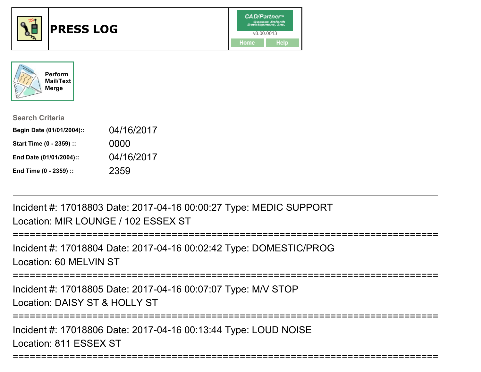



| <b>Search Criteria</b>    |            |
|---------------------------|------------|
| Begin Date (01/01/2004):: | 04/16/2017 |
| Start Time (0 - 2359) ::  | 0000       |
| End Date (01/01/2004)::   | 04/16/2017 |
| End Time (0 - 2359) ::    | 2359       |

Incident #: 17018803 Date: 2017-04-16 00:00:27 Type: MEDIC SUPPORTLocation: MIR LOUNGE / 102 ESSEX ST

```
===========================================================================
```
Incident #: 17018804 Date: 2017-04-16 00:02:42 Type: DOMESTIC/PROGLocation: 60 MELVIN ST

===========================================================================

Incident #: 17018805 Date: 2017-04-16 00:07:07 Type: M/V STOPLocation: DAISY ST & HOLLY ST

===========================================================================

===========================================================================

Incident #: 17018806 Date: 2017-04-16 00:13:44 Type: LOUD NOISELocation: 811 ESSEX ST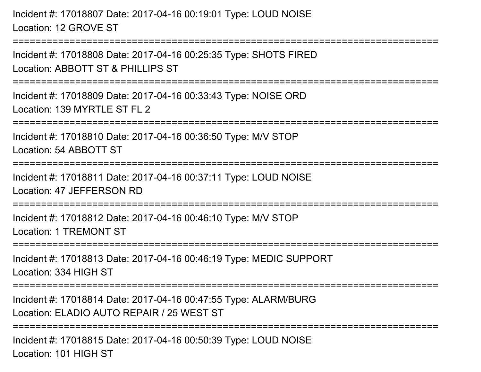Incident #: 17018807 Date: 2017-04-16 00:19:01 Type: LOUD NOISELocation: 12 GROVE ST

===========================================================================Incident #: 17018808 Date: 2017-04-16 00:25:35 Type: SHOTS FIRED

Location: ABBOTT ST & PHILLIPS ST

===========================================================================

Incident #: 17018809 Date: 2017-04-16 00:33:43 Type: NOISE ORDLocation: 139 MYRTLE ST FL 2

===========================================================================

Incident #: 17018810 Date: 2017-04-16 00:36:50 Type: M/V STOP

Location: 54 ABBOTT ST

=========================

Incident #: 17018811 Date: 2017-04-16 00:37:11 Type: LOUD NOISELocation: 47 JEFFERSON RD

===========================================================================

Incident #: 17018812 Date: 2017-04-16 00:46:10 Type: M/V STOPLocation: 1 TREMONT ST

===========================================================================

Incident #: 17018813 Date: 2017-04-16 00:46:19 Type: MEDIC SUPPORTLocation: 334 HIGH ST

===========================================================================

Incident #: 17018814 Date: 2017-04-16 00:47:55 Type: ALARM/BURGLocation: ELADIO AUTO REPAIR / 25 WEST ST

===========================================================================

Incident #: 17018815 Date: 2017-04-16 00:50:39 Type: LOUD NOISELocation: 101 HIGH ST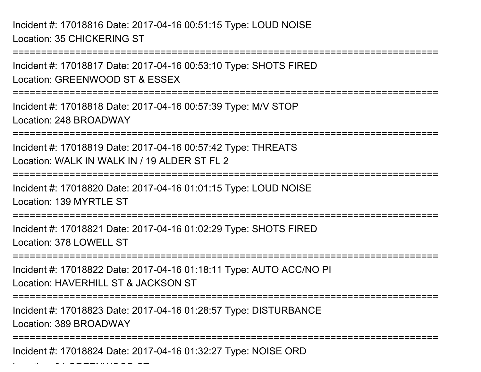Incident #: 17018816 Date: 2017-04-16 00:51:15 Type: LOUD NOISELocation: 35 CHICKERING ST

Location: 34 GREENWOOD ST

===========================================================================Incident #: 17018817 Date: 2017-04-16 00:53:10 Type: SHOTS FIREDLocation: GREENWOOD ST & ESSEX===========================================================================Incident #: 17018818 Date: 2017-04-16 00:57:39 Type: M/V STOPLocation: 248 BROADWAY============================ Incident #: 17018819 Date: 2017-04-16 00:57:42 Type: THREATSLocation: WALK IN WALK IN / 19 ALDER ST FL 2 ===========================================================================Incident #: 17018820 Date: 2017-04-16 01:01:15 Type: LOUD NOISELocation: 139 MYRTLE ST ===========================================================================Incident #: 17018821 Date: 2017-04-16 01:02:29 Type: SHOTS FIREDLocation: 378 LOWELL ST===========================================================================Incident #: 17018822 Date: 2017-04-16 01:18:11 Type: AUTO ACC/NO PILocation: HAVERHILL ST & JACKSON ST===========================================================================Incident #: 17018823 Date: 2017-04-16 01:28:57 Type: DISTURBANCELocation: 389 BROADWAY ===========================================================================Incident #: 17018824 Date: 2017-04-16 01:32:27 Type: NOISE ORD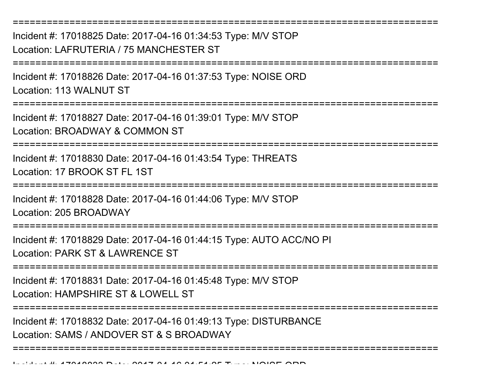Incident #: 17018825 Date: 2017-04-16 01:34:53 Type: M/V STOPLocation: LAFRUTERIA / 75 MANCHESTER ST

===========================================================================

===========================================================================

Incident #: 17018826 Date: 2017-04-16 01:37:53 Type: NOISE ORDLocation: 113 WALNUT ST

===========================================================================

Incident #: 17018827 Date: 2017-04-16 01:39:01 Type: M/V STOPLocation: BROADWAY & COMMON ST

===========================================================================

Incident #: 17018830 Date: 2017-04-16 01:43:54 Type: THREATSLocation: 17 BROOK ST FL 1ST

===========================================================================

Incident #: 17018828 Date: 2017-04-16 01:44:06 Type: M/V STOP

Location: 205 BROADWAY

===========================================================================

Incident #: 17018829 Date: 2017-04-16 01:44:15 Type: AUTO ACC/NO PILocation: PARK ST & LAWRENCE ST

===========================================================================

Incident #: 17018831 Date: 2017-04-16 01:45:48 Type: M/V STOPLocation: HAMPSHIRE ST & LOWELL ST

===========================================================================

===========================================================================

Incident #: 17018832 Date: 2017-04-16 01:49:13 Type: DISTURBANCELocation: SAMS / ANDOVER ST & S BROADWAY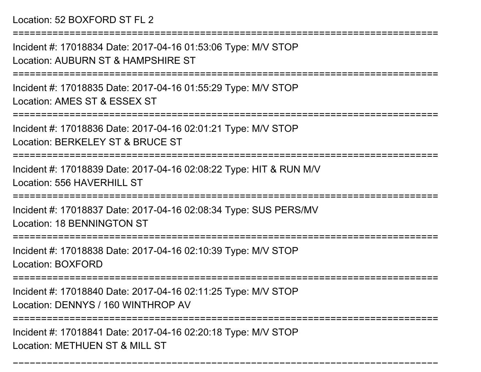## Location: 52 BOXFORD ST FL 2

===========================================================================

Incident #: 17018834 Date: 2017-04-16 01:53:06 Type: M/V STOPLocation: AUBURN ST & HAMPSHIRE ST

===========================================================================

Incident #: 17018835 Date: 2017-04-16 01:55:29 Type: M/V STOPLocation: AMES ST & ESSEX ST

===========================================================================

Incident #: 17018836 Date: 2017-04-16 02:01:21 Type: M/V STOP

Location: BERKELEY ST & BRUCE ST

===========================================================================

Incident #: 17018839 Date: 2017-04-16 02:08:22 Type: HIT & RUN M/VLocation: 556 HAVERHILL ST

===========================================================================

Incident #: 17018837 Date: 2017-04-16 02:08:34 Type: SUS PERS/MVLocation: 18 BENNINGTON ST

============================

Incident #: 17018838 Date: 2017-04-16 02:10:39 Type: M/V STOP

Location: BOXFORD

===========================================================================

Incident #: 17018840 Date: 2017-04-16 02:11:25 Type: M/V STOP

Location: DENNYS / 160 WINTHROP AV

===================

===========================================================================

Incident #: 17018841 Date: 2017-04-16 02:20:18 Type: M/V STOPLocation: METHUEN ST & MILL ST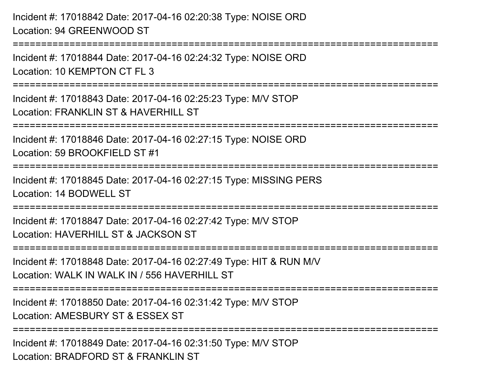Incident #: 17018842 Date: 2017-04-16 02:20:38 Type: NOISE ORDLocation: 94 GREENWOOD ST===========================================================================Incident #: 17018844 Date: 2017-04-16 02:24:32 Type: NOISE ORDLocation: 10 KEMPTON CT FL 3 ===========================================================================Incident #: 17018843 Date: 2017-04-16 02:25:23 Type: M/V STOPLocation: FRANKLIN ST & HAVERHILL ST ===========================================================================Incident #: 17018846 Date: 2017-04-16 02:27:15 Type: NOISE ORDLocation: 59 BROOKFIELD ST #1===========================================================================Incident #: 17018845 Date: 2017-04-16 02:27:15 Type: MISSING PERSLocation: 14 BODWELL ST===========================================================================Incident #: 17018847 Date: 2017-04-16 02:27:42 Type: M/V STOPLocation: HAVERHILL ST & JACKSON ST===========================================================================Incident #: 17018848 Date: 2017-04-16 02:27:49 Type: HIT & RUN M/VLocation: WALK IN WALK IN / 556 HAVERHILL ST===========================================================================Incident #: 17018850 Date: 2017-04-16 02:31:42 Type: M/V STOPLocation: AMESBURY ST & ESSEX ST===========================================================================Incident #: 17018849 Date: 2017-04-16 02:31:50 Type: M/V STOPLocation: BRADFORD ST & FRANKLIN ST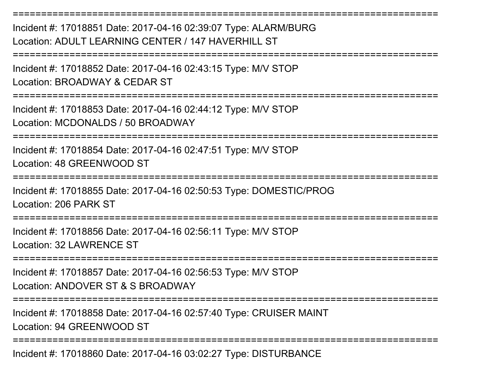Incident #: 17018851 Date: 2017-04-16 02:39:07 Type: ALARM/BURGLocation: ADULT LEARNING CENTER / 147 HAVERHILL ST

===========================================================================

===========================================================================

Incident #: 17018852 Date: 2017-04-16 02:43:15 Type: M/V STOPLocation: BROADWAY & CEDAR ST

===========================================================================

Incident #: 17018853 Date: 2017-04-16 02:44:12 Type: M/V STOPLocation: MCDONALDS / 50 BROADWAY

===========================================================================

Incident #: 17018854 Date: 2017-04-16 02:47:51 Type: M/V STOPLocation: 48 GREENWOOD ST

===========================================================================

Incident #: 17018855 Date: 2017-04-16 02:50:53 Type: DOMESTIC/PROGLocation: 206 PARK ST

===========================================================================

Incident #: 17018856 Date: 2017-04-16 02:56:11 Type: M/V STOPLocation: 32 LAWRENCE ST

===========================================================================

Incident #: 17018857 Date: 2017-04-16 02:56:53 Type: M/V STOPLocation: ANDOVER ST & S BROADWAY

===========================================================================

Incident #: 17018858 Date: 2017-04-16 02:57:40 Type: CRUISER MAINTLocation: 94 GREENWOOD ST

===========================================================================

Incident #: 17018860 Date: 2017-04-16 03:02:27 Type: DISTURBANCE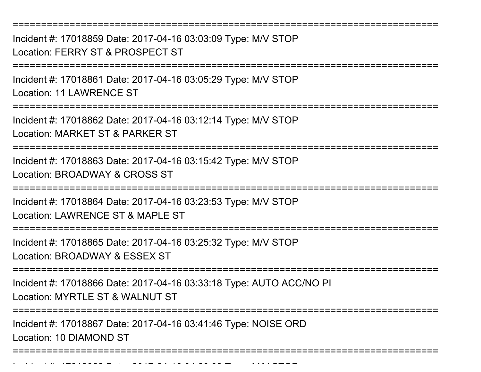===========================================================================Incident #: 17018859 Date: 2017-04-16 03:03:09 Type: M/V STOPLocation: FERRY ST & PROSPECT ST===========================================================================Incident #: 17018861 Date: 2017-04-16 03:05:29 Type: M/V STOPLocation: 11 LAWRENCE ST===========================================================================Incident #: 17018862 Date: 2017-04-16 03:12:14 Type: M/V STOPLocation: MARKET ST & PARKER ST===========================================================================Incident #: 17018863 Date: 2017-04-16 03:15:42 Type: M/V STOPLocation: BROADWAY & CROSS ST===========================================================================Incident #: 17018864 Date: 2017-04-16 03:23:53 Type: M/V STOPLocation: LAWRENCE ST & MAPLE ST===========================================================================Incident #: 17018865 Date: 2017-04-16 03:25:32 Type: M/V STOPLocation: BROADWAY & ESSEX ST===========================================================================Incident #: 17018866 Date: 2017-04-16 03:33:18 Type: AUTO ACC/NO PILocation: MYRTLE ST & WALNUT ST ===========================================================================Incident #: 17018867 Date: 2017-04-16 03:41:46 Type: NOISE ORDLocation: 10 DIAMOND ST===========================================================================

<sup>04</sup> 16 04:00:09 Type: M/V STOP

Incident #: 17018868 Date: 2017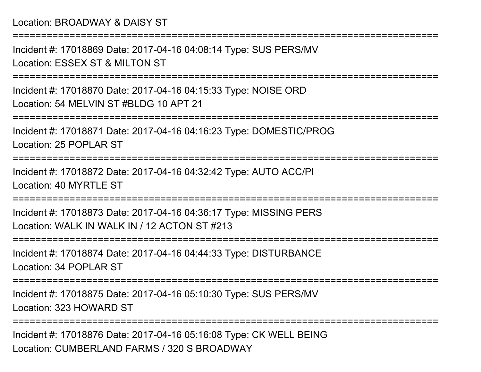Location: BROADWAY & DAISY ST

Incident #: 17018869 Date: 2017-04-16 04:08:14 Type: SUS PERS/MVLocation: ESSEX ST & MILTON ST

===========================================================================

===========================================================================

Incident #: 17018870 Date: 2017-04-16 04:15:33 Type: NOISE ORDLocation: 54 MELVIN ST #BLDG 10 APT 21

===========================================================================

Incident #: 17018871 Date: 2017-04-16 04:16:23 Type: DOMESTIC/PROGLocation: 25 POPLAR ST

===========================================================================

Incident #: 17018872 Date: 2017-04-16 04:32:42 Type: AUTO ACC/PILocation: 40 MYRTLE ST

===========================================================================

Incident #: 17018873 Date: 2017-04-16 04:36:17 Type: MISSING PERSLocation: WALK IN WALK IN / 12 ACTON ST #213

===========================================================================

Incident #: 17018874 Date: 2017-04-16 04:44:33 Type: DISTURBANCELocation: 34 POPLAR ST

===========================================================================

Incident #: 17018875 Date: 2017-04-16 05:10:30 Type: SUS PERS/MVLocation: 323 HOWARD ST

===========================================================================

Incident #: 17018876 Date: 2017-04-16 05:16:08 Type: CK WELL BEINGLocation: CUMBERLAND FARMS / 320 S BROADWAY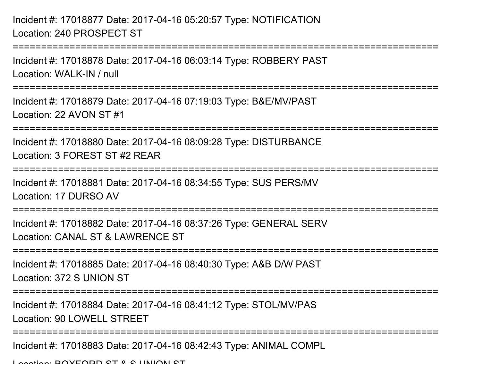Incident #: 17018877 Date: 2017-04-16 05:20:57 Type: NOTIFICATIONLocation: 240 PROSPECT ST

Incident #: 17018878 Date: 2017-04-16 06:03:14 Type: ROBBERY PASTLocation: WALK-IN / null

===========================================================================

===========================================================================

Incident #: 17018879 Date: 2017-04-16 07:19:03 Type: B&E/MV/PASTLocation: 22 AVON ST #1

===========================================================================

Incident #: 17018880 Date: 2017-04-16 08:09:28 Type: DISTURBANCELocation: 3 FOREST ST #2 REAR

===========================================================================

Incident #: 17018881 Date: 2017-04-16 08:34:55 Type: SUS PERS/MV

Location: 17 DURSO AV

===========================================================================

Incident #: 17018882 Date: 2017-04-16 08:37:26 Type: GENERAL SERVLocation: CANAL ST & LAWRENCE ST

===========================================================================

Incident #: 17018885 Date: 2017-04-16 08:40:30 Type: A&B D/W PASTLocation: 372 S UNION ST

===========================================================================

Incident #: 17018884 Date: 2017-04-16 08:41:12 Type: STOL/MV/PAS

Location: 90 LOWELL STREET

===========================================================================

Incident #: 17018883 Date: 2017-04-16 08:42:43 Type: ANIMAL COMPL

Location: DOVEODD CT & C UNION CT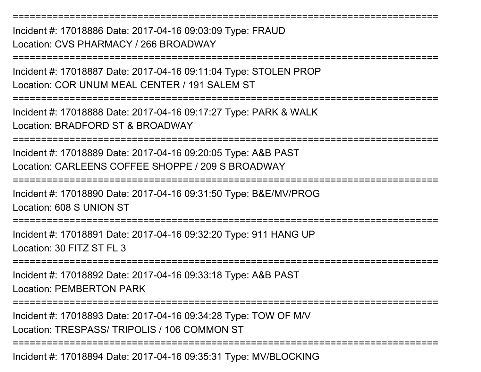Incident #: 17018886 Date: 2017-04-16 09:03:09 Type: FRAUDLocation: CVS PHARMACY / 266 BROADWAY

Incident #: 17018887 Date: 2017-04-16 09:11:04 Type: STOLEN PROPLocation: COR UNUM MEAL CENTER / 191 SALEM ST

===========================================================================

===========================================================================

===========================================================================

Incident #: 17018888 Date: 2017-04-16 09:17:27 Type: PARK & WALKLocation: BRADFORD ST & BROADWAY

===========================================================================

Incident #: 17018889 Date: 2017-04-16 09:20:05 Type: A&B PASTLocation: CARLEENS COFFEE SHOPPE / 209 S BROADWAY

===========================================================================

Incident #: 17018890 Date: 2017-04-16 09:31:50 Type: B&E/MV/PROGLocation: 608 S UNION ST

===========================================================================

Incident #: 17018891 Date: 2017-04-16 09:32:20 Type: 911 HANG UPLocation: 30 FITZ ST FL 3

===========================================================================

Incident #: 17018892 Date: 2017-04-16 09:33:18 Type: A&B PASTLocation: PEMBERTON PARK

===========================================================================

===========================================================================

Incident #: 17018893 Date: 2017-04-16 09:34:28 Type: TOW OF M/V

Location: TRESPASS/ TRIPOLIS / 106 COMMON ST

Incident #: 17018894 Date: 2017-04-16 09:35:31 Type: MV/BLOCKING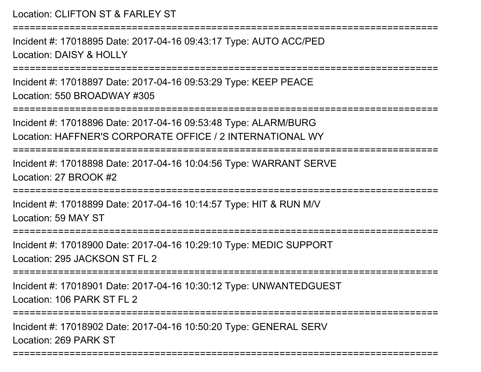```
Location: CLIFTON ST & FARLEY ST===========================================================================Incident #: 17018895 Date: 2017-04-16 09:43:17 Type: AUTO ACC/PEDLocation: DAISY & HOLLY===========================================================================Incident #: 17018897 Date: 2017-04-16 09:53:29 Type: KEEP PEACELocation: 550 BROADWAY #305===========================================================================Incident #: 17018896 Date: 2017-04-16 09:53:48 Type: ALARM/BURG
Location: HAFFNER'S CORPORATE OFFICE / 2 INTERNATIONAL WY===========================================================================Incident #: 17018898 Date: 2017-04-16 10:04:56 Type: WARRANT SERVELocation: 27 BROOK #2===========================================================================Incident #: 17018899 Date: 2017-04-16 10:14:57 Type: HIT & RUN M/VLocation: 59 MAY ST===========================================================================Incident #: 17018900 Date: 2017-04-16 10:29:10 Type: MEDIC SUPPORTLocation: 295 JACKSON ST FL 2===========================================================================Incident #: 17018901 Date: 2017-04-16 10:30:12 Type: UNWANTEDGUESTLocation: 106 PARK ST FL 2
   ===========================================================================Incident #: 17018902 Date: 2017-04-16 10:50:20 Type: GENERAL SERVLocation: 269 PARK ST===========================================================================
```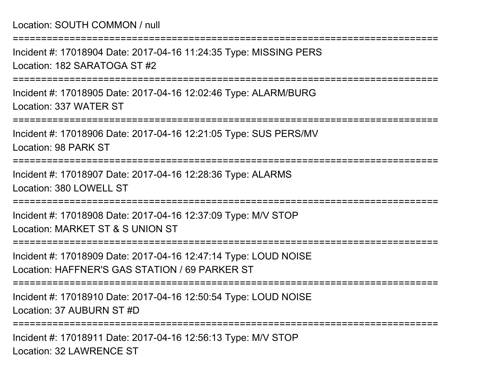===========================================================================Incident #: 17018904 Date: 2017-04-16 11:24:35 Type: MISSING PERSLocation: 182 SARATOGA ST #2===========================================================================Incident #: 17018905 Date: 2017-04-16 12:02:46 Type: ALARM/BURGLocation: 337 WATER ST===========================================================================Incident #: 17018906 Date: 2017-04-16 12:21:05 Type: SUS PERS/MVLocation: 98 PARK ST===========================================================================Incident #: 17018907 Date: 2017-04-16 12:28:36 Type: ALARMSLocation: 380 LOWELL ST ===========================================================================Incident #: 17018908 Date: 2017-04-16 12:37:09 Type: M/V STOPLocation: MARKET ST & S UNION ST===========================================================================Incident #: 17018909 Date: 2017-04-16 12:47:14 Type: LOUD NOISELocation: HAFFNER'S GAS STATION / 69 PARKER ST===========================================================================Incident #: 17018910 Date: 2017-04-16 12:50:54 Type: LOUD NOISELocation: 37 AUBURN ST #D===========================================================================Incident #: 17018911 Date: 2017-04-16 12:56:13 Type: M/V STOPLocation: 32 LAWRENCE ST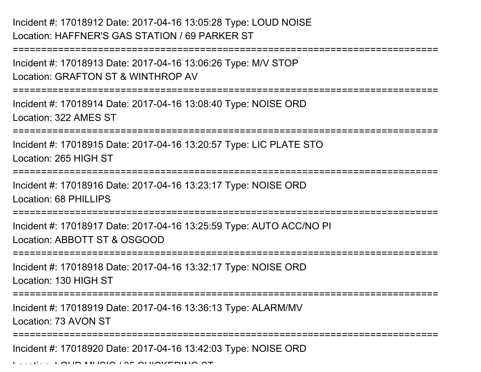```
Incident #: 17018912 Date: 2017-04-16 13:05:28 Type: LOUD NOISELocation: HAFFNER'S GAS STATION / 69 PARKER ST
```

```
===========================================================================Incident #: 17018913 Date: 2017-04-16 13:06:26 Type: M/V STOPLocation: GRAFTON ST & WINTHROP AV===========================================================================Incident #: 17018914 Date: 2017-04-16 13:08:40 Type: NOISE ORDLocation: 322 AMES ST===========================================================================Incident #: 17018915 Date: 2017-04-16 13:20:57 Type: LIC PLATE STOLocation: 265 HIGH ST===========================================================================Incident #: 17018916 Date: 2017-04-16 13:23:17 Type: NOISE ORDLocation: 68 PHILLIPS=============================
Incident #: 17018917 Date: 2017-04-16 13:25:59 Type: AUTO ACC/NO PILocation: ABBOTT ST & OSGOOD===========================================================================Incident #: 17018918 Date: 2017-04-16 13:32:17 Type: NOISE ORDLocation: 130 HIGH ST===========================================================================Incident #: 17018919 Date: 2017-04-16 13:36:13 Type: ALARM/MVLocation: 73 AVON ST===========================================================================Incident #: 17018920 Date: 2017-04-16 13:42:03 Type: NOISE ORD
```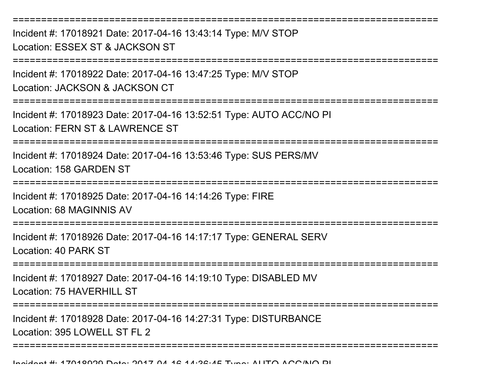===========================================================================Incident #: 17018921 Date: 2017-04-16 13:43:14 Type: M/V STOPLocation: ESSEX ST & JACKSON ST===========================================================================Incident #: 17018922 Date: 2017-04-16 13:47:25 Type: M/V STOPLocation: JACKSON & JACKSON CT===========================================================================Incident #: 17018923 Date: 2017-04-16 13:52:51 Type: AUTO ACC/NO PILocation: FERN ST & LAWRENCE ST===========================================================================Incident #: 17018924 Date: 2017-04-16 13:53:46 Type: SUS PERS/MVLocation: 158 GARDEN ST======================= Incident #: 17018925 Date: 2017-04-16 14:14:26 Type: FIRELocation: 68 MAGINNIS AV===========================================================================Incident #: 17018926 Date: 2017-04-16 14:17:17 Type: GENERAL SERVLocation: 40 PARK ST===========================================================================Incident #: 17018927 Date: 2017-04-16 14:19:10 Type: DISABLED MVLocation: 75 HAVERHILL ST ===========================================================================Incident #: 17018928 Date: 2017-04-16 14:27:31 Type: DISTURBANCELocation: 395 LOWELL ST FL 2 ===========================================================================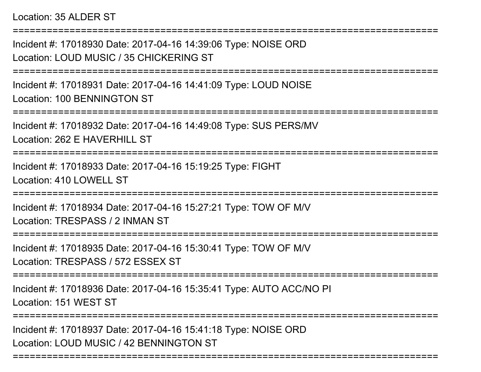### Location: 35 ALDER ST

Incident #: 17018930 Date: 2017-04-16 14:39:06 Type: NOISE ORDLocation: LOUD MUSIC / 35 CHICKERING ST

===========================================================================

===========================================================================

Incident #: 17018931 Date: 2017-04-16 14:41:09 Type: LOUD NOISELocation: 100 BENNINGTON ST

===========================================================================

Incident #: 17018932 Date: 2017-04-16 14:49:08 Type: SUS PERS/MVLocation: 262 F HAVERHILL ST

===========================================================================

Incident #: 17018933 Date: 2017-04-16 15:19:25 Type: FIGHTLocation: 410 LOWELL ST

===========================================================================

Incident #: 17018934 Date: 2017-04-16 15:27:21 Type: TOW OF M/VLocation: TRESPASS / 2 INMAN ST

===========================================================================

Incident #: 17018935 Date: 2017-04-16 15:30:41 Type: TOW OF M/VLocation: TRESPASS / 572 ESSEX ST

===========================================================================

Incident #: 17018936 Date: 2017-04-16 15:35:41 Type: AUTO ACC/NO PILocation: 151 WEST ST

===========================================================================

Incident #: 17018937 Date: 2017-04-16 15:41:18 Type: NOISE ORDLocation: LOUD MUSIC / 42 BENNINGTON ST

===========================================================================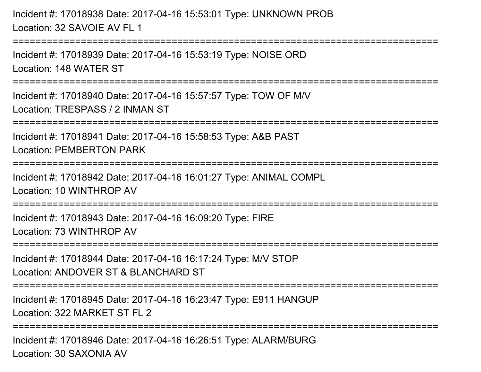Incident #: 17018938 Date: 2017-04-16 15:53:01 Type: UNKNOWN PROBLocation: 32 SAVOIE AV FL 1

=============================

Incident #: 17018939 Date: 2017-04-16 15:53:19 Type: NOISE ORDLocation: 148 WATER ST

===========================================================================

Incident #: 17018940 Date: 2017-04-16 15:57:57 Type: TOW OF M/VLocation: TRESPASS / 2 INMAN ST

===========================================================================

Incident #: 17018941 Date: 2017-04-16 15:58:53 Type: A&B PAST

Location: PEMBERTON PARK

```
===========================================================================
```
Incident #: 17018942 Date: 2017-04-16 16:01:27 Type: ANIMAL COMPLLocation: 10 WINTHROP AV

===========================================================================

Incident #: 17018943 Date: 2017-04-16 16:09:20 Type: FIRELocation: 73 WINTHROP AV

===========================================================================

Incident #: 17018944 Date: 2017-04-16 16:17:24 Type: M/V STOP

Location: ANDOVER ST & BLANCHARD ST

===========================================================================

Incident #: 17018945 Date: 2017-04-16 16:23:47 Type: E911 HANGUPLocation: 322 MARKET ST FL 2

=========================

Incident #: 17018946 Date: 2017-04-16 16:26:51 Type: ALARM/BURGLocation: 30 SAXONIA AV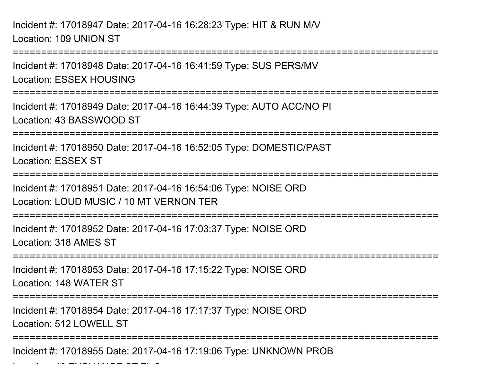Incident #: 17018947 Date: 2017-04-16 16:28:23 Type: HIT & RUN M/VLocation: 109 UNION ST

 $\mathcal{L}$  and  $\mathcal{L}$  is exceptions of  $\mathcal{L}$  and  $\mathcal{L}$ 

===========================================================================Incident #: 17018948 Date: 2017-04-16 16:41:59 Type: SUS PERS/MVLocation: ESSEX HOUSING===========================================================================Incident #: 17018949 Date: 2017-04-16 16:44:39 Type: AUTO ACC/NO PILocation: 43 BASSWOOD ST======================== Incident #: 17018950 Date: 2017-04-16 16:52:05 Type: DOMESTIC/PASTLocation: ESSEX ST===========================================================================Incident #: 17018951 Date: 2017-04-16 16:54:06 Type: NOISE ORDLocation: LOUD MUSIC / 10 MT VERNON TER ===========================================================================Incident #: 17018952 Date: 2017-04-16 17:03:37 Type: NOISE ORDLocation: 318 AMES ST===========================================================================Incident #: 17018953 Date: 2017-04-16 17:15:22 Type: NOISE ORDLocation: 148 WATER ST===========================================================================Incident #: 17018954 Date: 2017-04-16 17:17:37 Type: NOISE ORDLocation: 512 LOWELL ST===========================================================================Incident #: 17018955 Date: 2017-04-16 17:19:06 Type: UNKNOWN PROB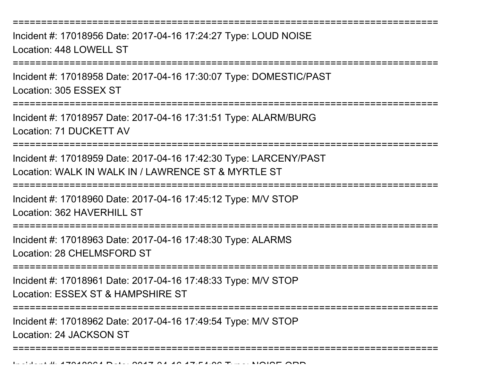===========================================================================

Incident #: 17018956 Date: 2017-04-16 17:24:27 Type: LOUD NOISELocation: 448 LOWELL ST

===========================================================================

Incident #: 17018958 Date: 2017-04-16 17:30:07 Type: DOMESTIC/PASTLocation: 305 ESSEX ST

**==============** 

Incident #: 17018957 Date: 2017-04-16 17:31:51 Type: ALARM/BURGLocation: 71 DUCKETT AV

===========================================================================

Incident #: 17018959 Date: 2017-04-16 17:42:30 Type: LARCENY/PASTLocation: WALK IN WALK IN / LAWRENCE ST & MYRTLE ST

===========================================================================

Incident #: 17018960 Date: 2017-04-16 17:45:12 Type: M/V STOP

Location: 362 HAVERHILL ST

===========================================================================

Incident #: 17018963 Date: 2017-04-16 17:48:30 Type: ALARMSLocation: 28 CHELMSFORD ST

===========================================================================

Incident #: 17018961 Date: 2017-04-16 17:48:33 Type: M/V STOPLocation: ESSEX ST & HAMPSHIRE ST

===========================================================================

===========================================================================

Incident #: 17018962 Date: 2017-04-16 17:49:54 Type: M/V STOP

Location: 24 JACKSON ST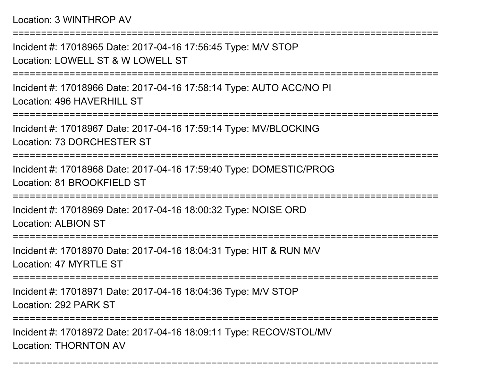===========================================================================Incident #: 17018965 Date: 2017-04-16 17:56:45 Type: M/V STOPLocation: LOWELL ST & W LOWELL ST===========================================================================Incident #: 17018966 Date: 2017-04-16 17:58:14 Type: AUTO ACC/NO PILocation: 496 HAVERHILL ST===========================================================================Incident #: 17018967 Date: 2017-04-16 17:59:14 Type: MV/BLOCKINGLocation: 73 DORCHESTER ST===========================================================================Incident #: 17018968 Date: 2017-04-16 17:59:40 Type: DOMESTIC/PROGLocation: 81 BROOKFIELD ST===========================================================================Incident #: 17018969 Date: 2017-04-16 18:00:32 Type: NOISE ORDLocation: ALBION ST======================== Incident #: 17018970 Date: 2017-04-16 18:04:31 Type: HIT & RUN M/VLocation: 47 MYRTLE ST===========================================================================Incident #: 17018971 Date: 2017-04-16 18:04:36 Type: M/V STOPLocation: 292 PARK ST======================== Incident #: 17018972 Date: 2017-04-16 18:09:11 Type: RECOV/STOL/MVLocation: THORNTON AV

===========================================================================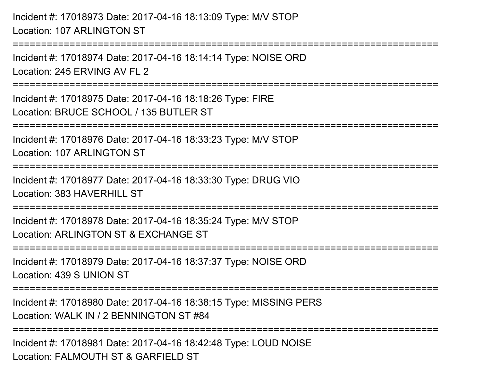Incident #: 17018973 Date: 2017-04-16 18:13:09 Type: M/V STOPLocation: 107 ARLINGTON ST===========================================================================Incident #: 17018974 Date: 2017-04-16 18:14:14 Type: NOISE ORDLocation: 245 ERVING AV FL 2===========================================================================Incident #: 17018975 Date: 2017-04-16 18:18:26 Type: FIRELocation: BRUCE SCHOOL / 135 BUTLER ST ===========================================================================Incident #: 17018976 Date: 2017-04-16 18:33:23 Type: M/V STOPLocation: 107 ARLINGTON ST===========================================================================Incident #: 17018977 Date: 2017-04-16 18:33:30 Type: DRUG VIOLocation: 383 HAVERHILL ST===========================================================================Incident #: 17018978 Date: 2017-04-16 18:35:24 Type: M/V STOPLocation: ARLINGTON ST & EXCHANGE ST===========================================================================Incident #: 17018979 Date: 2017-04-16 18:37:37 Type: NOISE ORDLocation: 439 S UNION ST===========================================================================Incident #: 17018980 Date: 2017-04-16 18:38:15 Type: MISSING PERSLocation: WALK IN / 2 BENNINGTON ST #84===========================================================================Incident #: 17018981 Date: 2017-04-16 18:42:48 Type: LOUD NOISELocation: FALMOUTH ST & GARFIELD ST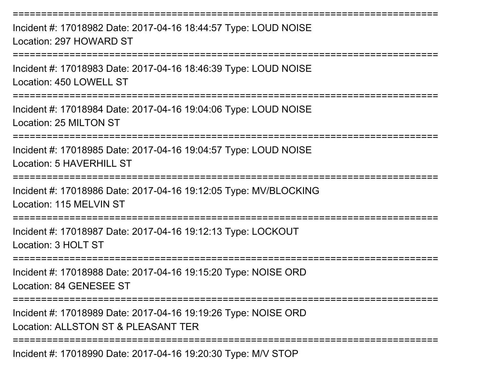===========================================================================Incident #: 17018982 Date: 2017-04-16 18:44:57 Type: LOUD NOISELocation: 297 HOWARD ST===========================================================================Incident #: 17018983 Date: 2017-04-16 18:46:39 Type: LOUD NOISELocation: 450 LOWELL ST===========================================================================Incident #: 17018984 Date: 2017-04-16 19:04:06 Type: LOUD NOISELocation: 25 MILTON ST===========================================================================Incident #: 17018985 Date: 2017-04-16 19:04:57 Type: LOUD NOISELocation: 5 HAVERHILL ST===========================================================================Incident #: 17018986 Date: 2017-04-16 19:12:05 Type: MV/BLOCKINGLocation: 115 MELVIN ST===========================================================================Incident #: 17018987 Date: 2017-04-16 19:12:13 Type: LOCKOUTLocation: 3 HOLT ST===========================================================================Incident #: 17018988 Date: 2017-04-16 19:15:20 Type: NOISE ORDLocation: 84 GENESEE ST===========================================================================Incident #: 17018989 Date: 2017-04-16 19:19:26 Type: NOISE ORDLocation: ALLSTON ST & PLEASANT TER===========================================================================Incident #: 17018990 Date: 2017-04-16 19:20:30 Type: M/V STOP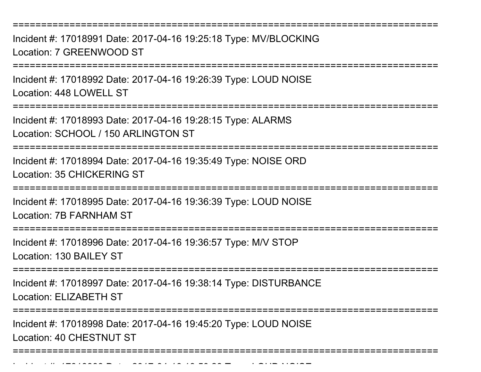===========================================================================

Incident #: 17018991 Date: 2017-04-16 19:25:18 Type: MV/BLOCKINGLocation: 7 GREENWOOD ST

===========================================================================

Incident #: 17018992 Date: 2017-04-16 19:26:39 Type: LOUD NOISELocation: 448 LOWELL ST

===========================================================================

Incident #: 17018993 Date: 2017-04-16 19:28:15 Type: ALARMSLocation: SCHOOL / 150 ARLINGTON ST

===========================================================================

Incident #: 17018994 Date: 2017-04-16 19:35:49 Type: NOISE ORDLocation: 35 CHICKERING ST

===========================================================================

Incident #: 17018995 Date: 2017-04-16 19:36:39 Type: LOUD NOISELocation: 7B FARNHAM ST

===========================================================================

Incident #: 17018996 Date: 2017-04-16 19:36:57 Type: M/V STOPLocation: 130 BAILEY ST

===========================================================================

Incident #: 17018997 Date: 2017-04-16 19:38:14 Type: DISTURBANCE

Location: ELIZABETH ST

Incident #: 17018999 Date: 2017

=========================

Incident #: 17018998 Date: 2017-04-16 19:45:20 Type: LOUD NOISELocation: 40 CHESTNUT ST

===========================================================================

<sup>04</sup> 16 19:50:28 Type: LOUD NOISE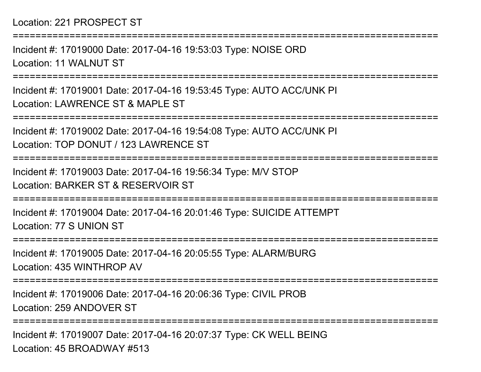# Location: 221 PROSPECT ST

Incident #: 17019000 Date: 2017-04-16 19:53:03 Type: NOISE ORDLocation: 11 WALNUT ST

===========================================================================

===========================================================================

Incident #: 17019001 Date: 2017-04-16 19:53:45 Type: AUTO ACC/UNK PILocation: LAWRENCE ST & MAPLE ST

===========================================================================

Incident #: 17019002 Date: 2017-04-16 19:54:08 Type: AUTO ACC/UNK PILocation: TOP DONUT / 123 LAWRENCE ST

===========================================================================

Incident #: 17019003 Date: 2017-04-16 19:56:34 Type: M/V STOPLocation: BARKER ST & RESERVOIR ST

===========================================================================

Incident #: 17019004 Date: 2017-04-16 20:01:46 Type: SUICIDE ATTEMPTLocation: 77 S UNION ST

===========================================================================

Incident #: 17019005 Date: 2017-04-16 20:05:55 Type: ALARM/BURGLocation: 435 WINTHROP AV

===========================================================================

Incident #: 17019006 Date: 2017-04-16 20:06:36 Type: CIVIL PROBLocation: 259 ANDOVER ST

===========================================================================

Incident #: 17019007 Date: 2017-04-16 20:07:37 Type: CK WELL BEINGLocation: 45 BROADWAY #513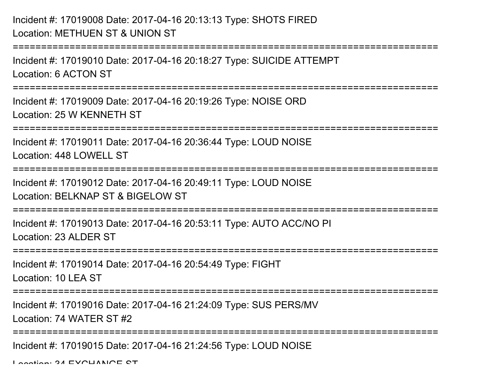# Incident #: 17019008 Date: 2017-04-16 20:13:13 Type: SHOTS FIREDLocation: METHUEN ST & UNION ST

```
===========================================================================Incident #: 17019010 Date: 2017-04-16 20:18:27 Type: SUICIDE ATTEMPTLocation: 6 ACTON ST===========================================================================Incident #: 17019009 Date: 2017-04-16 20:19:26 Type: NOISE ORDLocation: 25 W KENNETH ST===========================================================================Incident #: 17019011 Date: 2017-04-16 20:36:44 Type: LOUD NOISELocation: 448 LOWELL ST===========================================================================Incident #: 17019012 Date: 2017-04-16 20:49:11 Type: LOUD NOISELocation: BELKNAP ST & BIGELOW ST===========================================================================Incident #: 17019013 Date: 2017-04-16 20:53:11 Type: AUTO ACC/NO PILocation: 23 ALDER ST===========================================================================Incident #: 17019014 Date: 2017-04-16 20:54:49 Type: FIGHTLocation: 10 LEA ST
                  =====================
Incident #: 17019016 Date: 2017-04-16 21:24:09 Type: SUS PERS/MVLocation: 74 WATER ST #2===========================================================================Incident #: 17019015 Date: 2017-04-16 21:24:56 Type: LOUD NOISE
```
Location: 24 EVOUANOE CT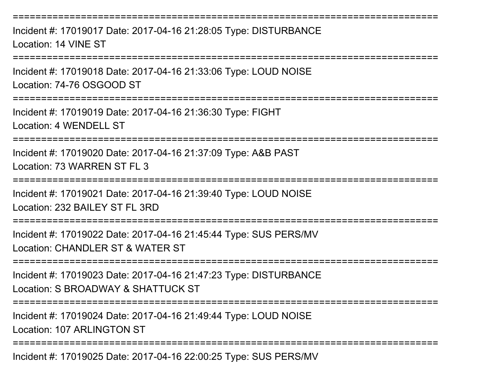===========================================================================Incident #: 17019017 Date: 2017-04-16 21:28:05 Type: DISTURBANCELocation: 14 VINE ST===========================================================================Incident #: 17019018 Date: 2017-04-16 21:33:06 Type: LOUD NOISELocation: 74-76 OSGOOD ST===========================================================================Incident #: 17019019 Date: 2017-04-16 21:36:30 Type: FIGHTLocation: 4 WENDELL ST===========================================================================Incident #: 17019020 Date: 2017-04-16 21:37:09 Type: A&B PASTLocation: 73 WARREN ST FL 3===========================================================================Incident #: 17019021 Date: 2017-04-16 21:39:40 Type: LOUD NOISELocation: 232 BAILEY ST FL 3RD ===========================================================================Incident #: 17019022 Date: 2017-04-16 21:45:44 Type: SUS PERS/MVLocation: CHANDLER ST & WATER ST ===========================================================================Incident #: 17019023 Date: 2017-04-16 21:47:23 Type: DISTURBANCELocation: S BROADWAY & SHATTUCK ST===========================================================================Incident #: 17019024 Date: 2017-04-16 21:49:44 Type: LOUD NOISELocation: 107 ARLINGTON ST===========================================================================

Incident #: 17019025 Date: 2017-04-16 22:00:25 Type: SUS PERS/MV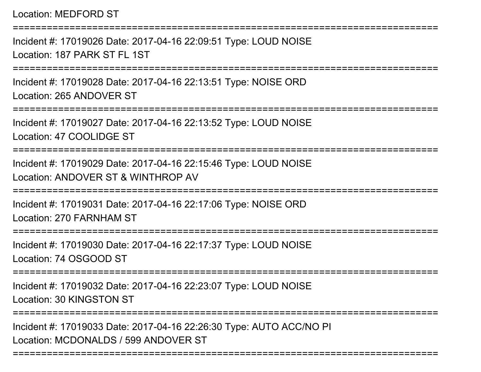Location: MEDFORD ST

===========================================================================Incident #: 17019026 Date: 2017-04-16 22:09:51 Type: LOUD NOISELocation: 187 PARK ST FL 1ST ===========================================================================Incident #: 17019028 Date: 2017-04-16 22:13:51 Type: NOISE ORDLocation: 265 ANDOVER ST===========================================================================Incident #: 17019027 Date: 2017-04-16 22:13:52 Type: LOUD NOISELocation: 47 COOLIDGE ST===========================================================================Incident #: 17019029 Date: 2017-04-16 22:15:46 Type: LOUD NOISELocation: ANDOVER ST & WINTHROP AV=========================== Incident #: 17019031 Date: 2017-04-16 22:17:06 Type: NOISE ORDLocation: 270 FARNHAM ST===========================================================================Incident #: 17019030 Date: 2017-04-16 22:17:37 Type: LOUD NOISELocation: 74 OSGOOD ST===========================================================================Incident #: 17019032 Date: 2017-04-16 22:23:07 Type: LOUD NOISELocation: 30 KINGSTON ST===========================================================================Incident #: 17019033 Date: 2017-04-16 22:26:30 Type: AUTO ACC/NO PILocation: MCDONALDS / 599 ANDOVER ST

===========================================================================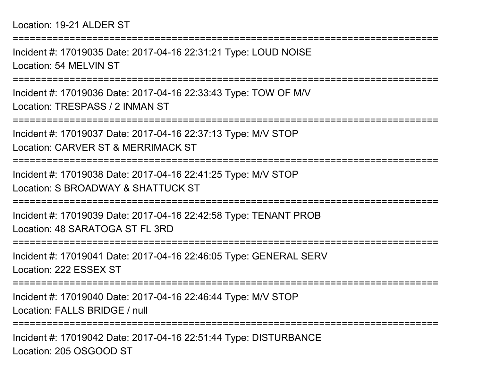#### Location: 19-21 ALDER ST

Incident #: 17019035 Date: 2017-04-16 22:31:21 Type: LOUD NOISELocation: 54 MELVIN ST

===========================================================================

===========================================================================

Incident #: 17019036 Date: 2017-04-16 22:33:43 Type: TOW OF M/VLocation: TRESPASS / 2 INMAN ST

===========================================================================

Incident #: 17019037 Date: 2017-04-16 22:37:13 Type: M/V STOP

Location: CARVER ST & MERRIMACK ST

===========================================================================

Incident #: 17019038 Date: 2017-04-16 22:41:25 Type: M/V STOPLocation: S BROADWAY & SHATTUCK ST

===========================================================================

Incident #: 17019039 Date: 2017-04-16 22:42:58 Type: TENANT PROBLocation: 48 SARATOGA ST FL 3RD

===========================================================================

Incident #: 17019041 Date: 2017-04-16 22:46:05 Type: GENERAL SERVLocation: 222 ESSEX ST

===========================================================================

Incident #: 17019040 Date: 2017-04-16 22:46:44 Type: M/V STOPLocation: FALLS BRIDGE / null

===========================================================================

Incident #: 17019042 Date: 2017-04-16 22:51:44 Type: DISTURBANCELocation: 205 OSGOOD ST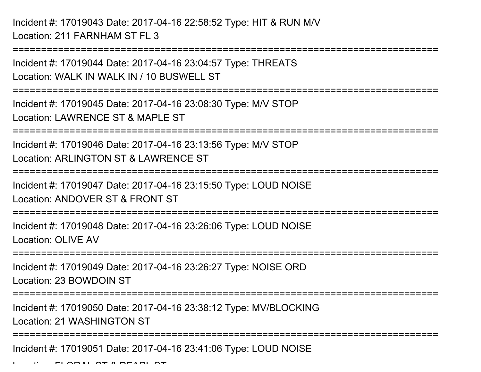Incident #: 17019043 Date: 2017-04-16 22:58:52 Type: HIT & RUN M/VLocation: 211 FARNHAM ST FL 3

Incident #: 17019044 Date: 2017-04-16 23:04:57 Type: THREATSLocation: WALK IN WALK IN / 10 BUSWELL ST

===========================================================================

===========================================================================

Incident #: 17019045 Date: 2017-04-16 23:08:30 Type: M/V STOPLocation: LAWRENCE ST & MAPLE ST

===========================================================================

Incident #: 17019046 Date: 2017-04-16 23:13:56 Type: M/V STOPLocation: ARLINGTON ST & LAWRENCE ST

===========================================================================

Incident #: 17019047 Date: 2017-04-16 23:15:50 Type: LOUD NOISELocation: ANDOVER ST & FRONT ST

===========================================================================

Incident #: 17019048 Date: 2017-04-16 23:26:06 Type: LOUD NOISELocation: OLIVE AV

===========================================================================

Incident #: 17019049 Date: 2017-04-16 23:26:27 Type: NOISE ORDLocation: 23 BOWDOIN ST

===========================================================================

Incident #: 17019050 Date: 2017-04-16 23:38:12 Type: MV/BLOCKINGLocation: 21 WASHINGTON ST

===========================================================================

Incident #: 17019051 Date: 2017-04-16 23:41:06 Type: LOUD NOISE